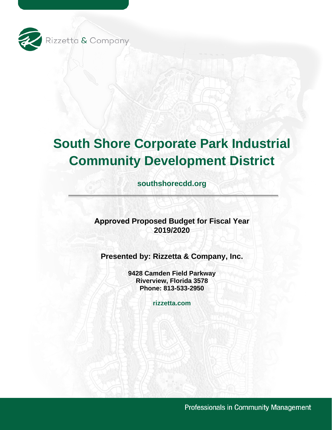

# **South Shore Corporate Park Industrial Community Development District**

**southshorecdd.org**

**Approved Proposed Budget for Fiscal Year 2019/2020** 

**Presented by: Rizzetta & Company, Inc.** 

**9428 Camden Field Parkway Riverview, Florida 3578 Phone: 813-533-2950** 

**rizzetta.com** 

Professionals in Community Management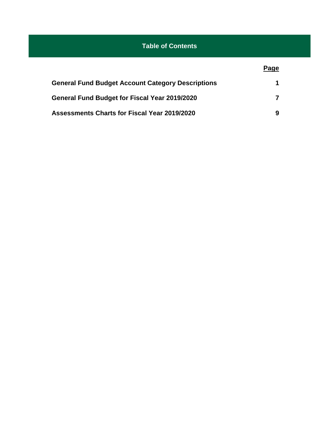# **Table of Contents**

### **Page**

| <b>General Fund Budget Account Category Descriptions</b> |  |
|----------------------------------------------------------|--|
| <b>General Fund Budget for Fiscal Year 2019/2020</b>     |  |
| <b>Assessments Charts for Fiscal Year 2019/2020</b>      |  |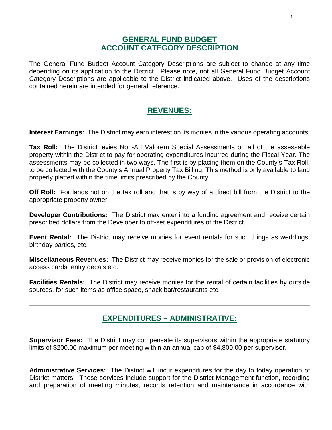### **GENERAL FUND BUDGET ACCOUNT CATEGORY DESCRIPTION**

The General Fund Budget Account Category Descriptions are subject to change at any time depending on its application to the District. Please note, not all General Fund Budget Account Category Descriptions are applicable to the District indicated above. Uses of the descriptions contained herein are intended for general reference.

### **REVENUES:**

**Interest Earnings:** The District may earn interest on its monies in the various operating accounts.

**Tax Roll:** The District levies Non-Ad Valorem Special Assessments on all of the assessable property within the District to pay for operating expenditures incurred during the Fiscal Year. The assessments may be collected in two ways. The first is by placing them on the County's Tax Roll, to be collected with the County's Annual Property Tax Billing. This method is only available to land properly platted within the time limits prescribed by the County.

**Off Roll:** For lands not on the tax roll and that is by way of a direct bill from the District to the appropriate property owner.

**Developer Contributions:** The District may enter into a funding agreement and receive certain prescribed dollars from the Developer to off-set expenditures of the District.

**Event Rental:** The District may receive monies for event rentals for such things as weddings, birthday parties, etc.

**Miscellaneous Revenues:** The District may receive monies for the sale or provision of electronic access cards, entry decals etc.

**Facilities Rentals:** The District may receive monies for the rental of certain facilities by outside sources, for such items as office space, snack bar/restaurants etc.

# **EXPENDITURES – ADMINISTRATIVE:**

**Supervisor Fees:** The District may compensate its supervisors within the appropriate statutory limits of \$200.00 maximum per meeting within an annual cap of \$4,800.00 per supervisor.

**Administrative Services:** The District will incur expenditures for the day to today operation of District matters. These services include support for the District Management function, recording and preparation of meeting minutes, records retention and maintenance in accordance with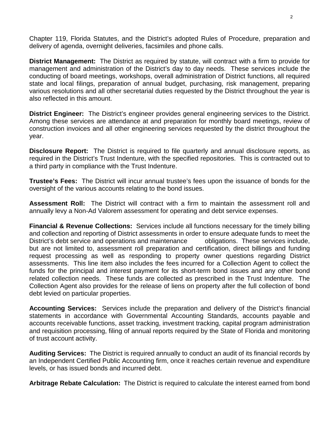Chapter 119, Florida Statutes, and the District's adopted Rules of Procedure, preparation and delivery of agenda, overnight deliveries, facsimiles and phone calls.

**District Management:** The District as required by statute, will contract with a firm to provide for management and administration of the District's day to day needs. These services include the conducting of board meetings, workshops, overall administration of District functions, all required state and local filings, preparation of annual budget, purchasing, risk management, preparing various resolutions and all other secretarial duties requested by the District throughout the year is also reflected in this amount.

**District Engineer:** The District's engineer provides general engineering services to the District. Among these services are attendance at and preparation for monthly board meetings, review of construction invoices and all other engineering services requested by the district throughout the year.

**Disclosure Report:** The District is required to file quarterly and annual disclosure reports, as required in the District's Trust Indenture, with the specified repositories. This is contracted out to a third party in compliance with the Trust Indenture.

**Trustee's Fees:** The District will incur annual trustee's fees upon the issuance of bonds for the oversight of the various accounts relating to the bond issues.

**Assessment Roll:** The District will contract with a firm to maintain the assessment roll and annually levy a Non-Ad Valorem assessment for operating and debt service expenses.

**Financial & Revenue Collections:** Services include all functions necessary for the timely billing and collection and reporting of District assessments in order to ensure adequate funds to meet the District's debt service and operations and maintenance obligations. These services include, but are not limited to, assessment roll preparation and certification, direct billings and funding request processing as well as responding to property owner questions regarding District assessments. This line item also includes the fees incurred for a Collection Agent to collect the funds for the principal and interest payment for its short-term bond issues and any other bond related collection needs. These funds are collected as prescribed in the Trust Indenture. The Collection Agent also provides for the release of liens on property after the full collection of bond debt levied on particular properties.

**Accounting Services:** Services include the preparation and delivery of the District's financial statements in accordance with Governmental Accounting Standards, accounts payable and accounts receivable functions, asset tracking, investment tracking, capital program administration and requisition processing, filing of annual reports required by the State of Florida and monitoring of trust account activity.

**Auditing Services:** The District is required annually to conduct an audit of its financial records by an Independent Certified Public Accounting firm, once it reaches certain revenue and expenditure levels, or has issued bonds and incurred debt.

**Arbitrage Rebate Calculation:** The District is required to calculate the interest earned from bond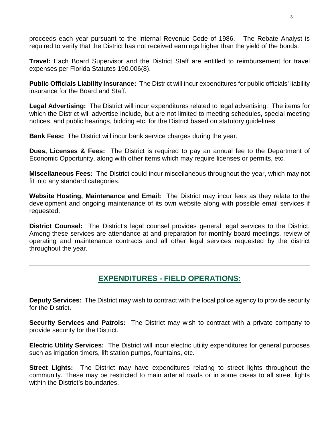proceeds each year pursuant to the Internal Revenue Code of 1986. The Rebate Analyst is required to verify that the District has not received earnings higher than the yield of the bonds.

**Travel:** Each Board Supervisor and the District Staff are entitled to reimbursement for travel expenses per Florida Statutes 190.006(8).

**Public Officials Liability Insurance:** The District will incur expenditures for public officials' liability insurance for the Board and Staff.

**Legal Advertising:** The District will incur expenditures related to legal advertising. The items for which the District will advertise include, but are not limited to meeting schedules, special meeting notices, and public hearings, bidding etc. for the District based on statutory guidelines

**Bank Fees:** The District will incur bank service charges during the year.

**Dues, Licenses & Fees:** The District is required to pay an annual fee to the Department of Economic Opportunity, along with other items which may require licenses or permits, etc.

**Miscellaneous Fees:** The District could incur miscellaneous throughout the year, which may not fit into any standard categories.

**Website Hosting, Maintenance and Email:** The District may incur fees as they relate to the development and ongoing maintenance of its own website along with possible email services if requested.

**District Counsel:** The District's legal counsel provides general legal services to the District. Among these services are attendance at and preparation for monthly board meetings, review of operating and maintenance contracts and all other legal services requested by the district throughout the year.

# **EXPENDITURES - FIELD OPERATIONS:**

**Deputy Services:** The District may wish to contract with the local police agency to provide security for the District.

**Security Services and Patrols:** The District may wish to contract with a private company to provide security for the District.

**Electric Utility Services:** The District will incur electric utility expenditures for general purposes such as irrigation timers, lift station pumps, fountains, etc.

**Street Lights:** The District may have expenditures relating to street lights throughout the community. These may be restricted to main arterial roads or in some cases to all street lights within the District's boundaries.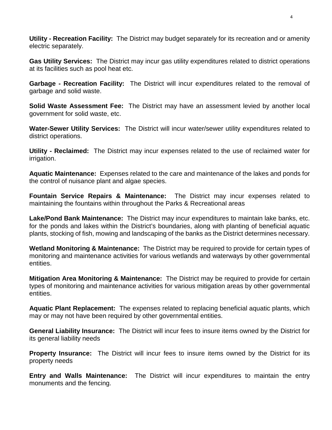**Utility - Recreation Facility:** The District may budget separately for its recreation and or amenity electric separately.

**Gas Utility Services:** The District may incur gas utility expenditures related to district operations at its facilities such as pool heat etc.

**Garbage - Recreation Facility:** The District will incur expenditures related to the removal of garbage and solid waste.

**Solid Waste Assessment Fee:** The District may have an assessment levied by another local government for solid waste, etc.

**Water-Sewer Utility Services:** The District will incur water/sewer utility expenditures related to district operations.

**Utility - Reclaimed:** The District may incur expenses related to the use of reclaimed water for irrigation.

**Aquatic Maintenance:** Expenses related to the care and maintenance of the lakes and ponds for the control of nuisance plant and algae species.

**Fountain Service Repairs & Maintenance:** The District may incur expenses related to maintaining the fountains within throughout the Parks & Recreational areas

**Lake/Pond Bank Maintenance:** The District may incur expenditures to maintain lake banks, etc. for the ponds and lakes within the District's boundaries, along with planting of beneficial aquatic plants, stocking of fish, mowing and landscaping of the banks as the District determines necessary.

**Wetland Monitoring & Maintenance:** The District may be required to provide for certain types of monitoring and maintenance activities for various wetlands and waterways by other governmental entities.

**Mitigation Area Monitoring & Maintenance:** The District may be required to provide for certain types of monitoring and maintenance activities for various mitigation areas by other governmental entities.

**Aquatic Plant Replacement:** The expenses related to replacing beneficial aquatic plants, which may or may not have been required by other governmental entities.

**General Liability Insurance:** The District will incur fees to insure items owned by the District for its general liability needs

**Property Insurance:** The District will incur fees to insure items owned by the District for its property needs

**Entry and Walls Maintenance:** The District will incur expenditures to maintain the entry monuments and the fencing.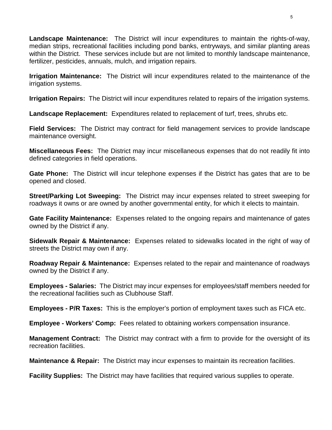**Landscape Maintenance:** The District will incur expenditures to maintain the rights-of-way, median strips, recreational facilities including pond banks, entryways, and similar planting areas within the District. These services include but are not limited to monthly landscape maintenance, fertilizer, pesticides, annuals, mulch, and irrigation repairs.

**Irrigation Maintenance:** The District will incur expenditures related to the maintenance of the irrigation systems.

**Irrigation Repairs:** The District will incur expenditures related to repairs of the irrigation systems.

**Landscape Replacement:** Expenditures related to replacement of turf, trees, shrubs etc.

**Field Services:** The District may contract for field management services to provide landscape maintenance oversight.

**Miscellaneous Fees:** The District may incur miscellaneous expenses that do not readily fit into defined categories in field operations.

**Gate Phone:** The District will incur telephone expenses if the District has gates that are to be opened and closed.

**Street/Parking Lot Sweeping:** The District may incur expenses related to street sweeping for roadways it owns or are owned by another governmental entity, for which it elects to maintain.

**Gate Facility Maintenance:** Expenses related to the ongoing repairs and maintenance of gates owned by the District if any.

**Sidewalk Repair & Maintenance:** Expenses related to sidewalks located in the right of way of streets the District may own if any.

**Roadway Repair & Maintenance:** Expenses related to the repair and maintenance of roadways owned by the District if any.

**Employees - Salaries:** The District may incur expenses for employees/staff members needed for the recreational facilities such as Clubhouse Staff.

**Employees - P/R Taxes:** This is the employer's portion of employment taxes such as FICA etc.

**Employee - Workers' Comp:** Fees related to obtaining workers compensation insurance.

**Management Contract:** The District may contract with a firm to provide for the oversight of its recreation facilities.

**Maintenance & Repair:** The District may incur expenses to maintain its recreation facilities.

**Facility Supplies:** The District may have facilities that required various supplies to operate.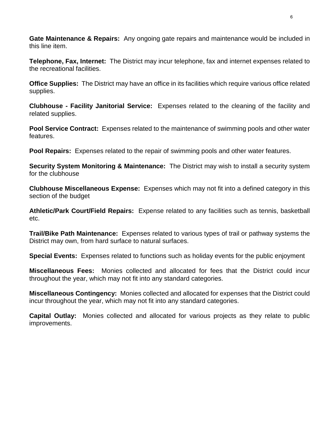**Gate Maintenance & Repairs:** Any ongoing gate repairs and maintenance would be included in this line item.

**Telephone, Fax, Internet:** The District may incur telephone, fax and internet expenses related to the recreational facilities.

**Office Supplies:** The District may have an office in its facilities which require various office related supplies.

**Clubhouse - Facility Janitorial Service:** Expenses related to the cleaning of the facility and related supplies.

**Pool Service Contract:** Expenses related to the maintenance of swimming pools and other water features.

**Pool Repairs:** Expenses related to the repair of swimming pools and other water features.

**Security System Monitoring & Maintenance:** The District may wish to install a security system for the clubhouse

**Clubhouse Miscellaneous Expense:** Expenses which may not fit into a defined category in this section of the budget

**Athletic/Park Court/Field Repairs:** Expense related to any facilities such as tennis, basketball etc.

**Trail/Bike Path Maintenance:** Expenses related to various types of trail or pathway systems the District may own, from hard surface to natural surfaces.

**Special Events:** Expenses related to functions such as holiday events for the public enjoyment

**Miscellaneous Fees:** Monies collected and allocated for fees that the District could incur throughout the year, which may not fit into any standard categories.

**Miscellaneous Contingency:** Monies collected and allocated for expenses that the District could incur throughout the year, which may not fit into any standard categories.

**Capital Outlay:** Monies collected and allocated for various projects as they relate to public improvements.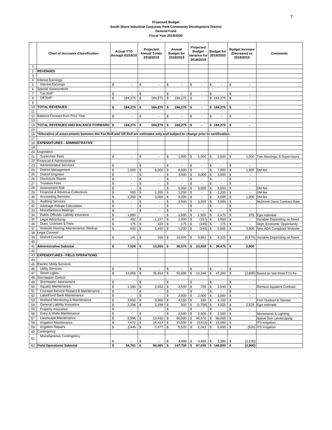#### **Proposed Budget South Shore Industrial Corporate Park Community Development District General Fund Fiscal Year 2019/2020**

|                                | <b>Chart of Accounts Classification</b>                                                                                      | <b>Actual YTD</b><br>through 02/28/19    |          | Projected<br><b>Annual Totals</b><br>2018/2019 |          | Annual<br><b>Budget for</b><br>2018/2019 |          | Projected<br><b>Budget</b><br>variance for<br>2018/2019 | <b>Budget for</b><br>2019/2020 |                                            | <b>Budget Increase</b><br>(Decrease) vs<br>2018/2019       | <b>Comments</b>                         |  |
|--------------------------------|------------------------------------------------------------------------------------------------------------------------------|------------------------------------------|----------|------------------------------------------------|----------|------------------------------------------|----------|---------------------------------------------------------|--------------------------------|--------------------------------------------|------------------------------------------------------------|-----------------------------------------|--|
| $\mathbf{1}$<br>$\overline{2}$ | <b>REVENUES</b>                                                                                                              |                                          |          |                                                |          |                                          |          |                                                         |                                |                                            |                                                            |                                         |  |
| 3<br>4                         | <b>Interest Earnings</b>                                                                                                     |                                          |          |                                                |          |                                          |          |                                                         |                                |                                            |                                                            |                                         |  |
| 5                              | <b>Interest Earnings</b>                                                                                                     | \$<br>$\sim$                             | \$       | $\overline{a}$                                 | \$       | ÷,                                       | \$       | $\blacksquare$                                          | \$                             | ÷,                                         | \$<br>$\blacksquare$                                       |                                         |  |
| 6                              | <b>Special Assessments</b>                                                                                                   |                                          |          |                                                |          |                                          |          |                                                         |                                |                                            |                                                            |                                         |  |
| $\overline{7}$                 | Tax Roll*                                                                                                                    | \$                                       | \$       | $\overline{\phantom{a}}$                       | \$       |                                          | \$       | $\blacksquare$                                          | \$                             | $\overline{\phantom{a}}$                   | \$<br>$\blacksquare$                                       |                                         |  |
| 8                              | Off Roll*                                                                                                                    | \$<br>184,275                            | \$       | 184,275                                        | \$       | 184,275                                  | \$       | $\blacksquare$                                          |                                | \$184,275                                  | \$<br>$\blacksquare$                                       |                                         |  |
| 9                              |                                                                                                                              |                                          |          |                                                |          |                                          |          |                                                         |                                |                                            |                                                            |                                         |  |
| 10                             | <b>TOTAL REVENUES</b>                                                                                                        | \$<br>184,275                            | \$       | 184,275                                        | \$       | 184.275                                  | \$       | $\blacksquare$                                          |                                | $$184.275$ \$                              | $\blacksquare$                                             |                                         |  |
| 11<br>12                       | Balance Forward from Prior Year                                                                                              | \$<br>$\blacksquare$                     | \$       |                                                | \$       |                                          | \$       | $\blacksquare$                                          | \$                             | ÷,                                         | \$<br>÷,                                                   |                                         |  |
| 13                             |                                                                                                                              |                                          |          |                                                |          |                                          |          |                                                         |                                |                                            |                                                            |                                         |  |
| 14                             | TOTAL REVENUES AND BALANCE FORWARD §                                                                                         | 184,275                                  | \$       | 184,275                                        | \$       | 184,275                                  | -\$      | $\blacksquare$                                          |                                | \$184,275                                  | \$<br>$\blacksquare$                                       |                                         |  |
| 15                             | Allocation of assessments between the Tax Roll and Off Roll are estimates only and subject to change prior to certification. |                                          |          |                                                |          |                                          |          |                                                         |                                |                                            |                                                            |                                         |  |
| 16<br>17                       |                                                                                                                              |                                          |          |                                                |          |                                          |          |                                                         |                                |                                            |                                                            |                                         |  |
| 18                             | <b>EXPENDITURES - ADMINISTRATIVE</b>                                                                                         |                                          |          |                                                |          |                                          |          |                                                         |                                |                                            |                                                            |                                         |  |
| 19                             |                                                                                                                              |                                          |          |                                                |          |                                          |          |                                                         |                                |                                            |                                                            |                                         |  |
| 20                             | Legislative                                                                                                                  |                                          |          |                                                |          |                                          |          |                                                         |                                |                                            |                                                            |                                         |  |
| 21                             | <b>Supervisor Fees</b>                                                                                                       | \$<br>÷.                                 | \$       | $\overline{\phantom{a}}$                       | \$       | 1,000                                    | \$       | 1,000                                                   | \$                             | 2,000                                      | \$<br>1,000                                                | Two Meetings, 5 Supervisors             |  |
| 22                             | Financial & Administrative                                                                                                   |                                          |          |                                                |          |                                          |          |                                                         |                                |                                            |                                                            |                                         |  |
| 23                             | <b>Administrative Services</b>                                                                                               | \$<br>$\sim$                             | \$       | $\blacksquare$                                 | \$       | $\blacksquare$                           | \$       | $\blacksquare$                                          | \$                             | $\overline{\phantom{a}}$                   | \$<br>$\blacksquare$                                       |                                         |  |
| 24                             | <b>District Management</b>                                                                                                   | \$<br>2,500                              | \$       | 6,000                                          | \$       | 6,000                                    | \$       | $\overline{\phantom{a}}$                                | \$                             | 7,800                                      | \$<br>1,800                                                | DM fee                                  |  |
| 25                             | <b>District Engineer</b>                                                                                                     | \$<br>$\blacksquare$                     | \$       |                                                | \$       | 3,000                                    | \$       | 3,000                                                   | \$                             | 3,000                                      | \$                                                         |                                         |  |
| 26<br>27                       | <b>Disclosure Report</b><br><b>Trustees Fees</b>                                                                             | \$<br>$\overline{\phantom{a}}$<br>\$     | \$<br>\$ | $\overline{a}$                                 | \$<br>\$ | $\blacksquare$<br>$\blacksquare$         | \$<br>\$ | $\blacksquare$                                          | \$                             | $\blacksquare$<br>$\overline{\phantom{a}}$ | \$<br>$\sim$<br>\$                                         |                                         |  |
| 28                             | Assessment Roll                                                                                                              | $\overline{\phantom{a}}$<br>\$<br>$\sim$ | \$       | $\overline{\phantom{a}}$                       | \$       | 5,000                                    | \$       | $\overline{\phantom{a}}$<br>5,000                       | \$<br>\$                       | 5,000                                      | $\overline{\phantom{a}}$<br>\$<br>$\blacksquare$           | DM fee                                  |  |
| 29                             | Financial & Revenue Collections                                                                                              | \$<br>500                                | \$       | 1,200                                          | \$       | 1,200                                    | \$       | $\blacksquare$                                          | \$                             | 1,200                                      | \$<br>$\overline{a}$                                       | DM fee                                  |  |
| 30                             | <b>Accounting Services</b>                                                                                                   | \$<br>1,250                              | \$       | 3,000                                          | \$       | 3,000                                    | \$       | $\blacksquare$                                          | \$                             | 4,000                                      | \$<br>1,000                                                | DM fee                                  |  |
| 31                             | <b>Auditing Services</b>                                                                                                     | \$<br>$\blacksquare$                     | \$       | $\blacksquare$                                 | \$       | 3,500                                    | \$       | 3,500                                                   | \$                             | 3,500                                      | \$<br>$\sim$                                               | McDirmit Davis Contract Rate            |  |
| 32                             | Arbitrage Rebate Calculation                                                                                                 | \$<br>$\overline{\phantom{a}}$           | \$       | $\blacksquare$                                 | \$       | $\blacksquare$                           | \$       | $\overline{\phantom{a}}$                                | \$                             | $\overline{\phantom{a}}$                   | \$<br>$\blacksquare$                                       |                                         |  |
| 33                             | Miscellaneous Mailings                                                                                                       | \$<br>$\overline{a}$                     | \$       | $\overline{a}$                                 | \$       | $\overline{a}$                           | \$       | $\overline{a}$                                          | \$                             | ÷,                                         | \$                                                         |                                         |  |
| 34                             | Public Officials Liability Insurance                                                                                         | \$<br>1,880                              |          |                                                | \$       | 1,500                                    | \$       | 1,500                                                   | \$                             | 2,475                                      | \$                                                         | 975 Egis estimate                       |  |
| 35                             | <b>Legal Advertising</b>                                                                                                     | \$<br>482                                | \$       | 1,157                                          | \$       | 1,000                                    | \$       | (157)                                                   | \$                             | 1,000                                      | \$                                                         | Variable Depending on Need              |  |
| 36                             | Dues, Licenses & Fees                                                                                                        | \$<br>175                                | \$       | 420                                            | \$       | 175                                      | \$       | $(245)$ \$                                              |                                | 175                                        | \$<br>$\overline{\phantom{a}}$                             | Dept. Economic Opportunity              |  |
| 37<br>38                       | Website Hosting, Maintenance, Backup<br>egal Counsel                                                                         | \$<br>600                                | \$       | 1,440                                          | \$       | 1,200                                    | \$       | (240)                                                   | $\mathsf{\$}$                  | 5,000                                      | \$<br>3,800                                                | New ADA Compliant Website               |  |
| 39                             | <b>District Counsel</b>                                                                                                      | \$<br>141                                | \$       | 338                                            | \$       | 10,000                                   | \$       | 9,662                                                   | \$                             | 4,325                                      | \$                                                         | (5,675) Variable Depending on Need      |  |
| 40                             |                                                                                                                              |                                          |          |                                                |          |                                          |          |                                                         |                                |                                            |                                                            |                                         |  |
| 41                             | <b>Administrative Subtotal</b>                                                                                               | \$<br>7,528                              | \$       | 13,555                                         | \$       | 36,575                                   | \$       | 23,020                                                  | \$                             | 39,475                                     | \$<br>2,900                                                |                                         |  |
| 42                             |                                                                                                                              |                                          |          |                                                |          |                                          |          |                                                         |                                |                                            |                                                            |                                         |  |
| 43<br>44                       | <b>EXPENDITURES - FIELD OPERATIONS</b>                                                                                       |                                          |          |                                                |          |                                          |          |                                                         |                                |                                            |                                                            |                                         |  |
| 45                             | <b>Electric Utility Services</b>                                                                                             |                                          |          |                                                |          |                                          |          |                                                         |                                |                                            |                                                            |                                         |  |
| 46                             | <b>Utility Services</b>                                                                                                      | \$<br>÷.                                 | \$       | $\overline{a}$                                 | \$       | $\sim$                                   | \$       | $\sim$                                                  | \$                             | $\blacksquare$                             | \$<br>$\overline{a}$                                       |                                         |  |
| 47                             | <b>Street Lights</b>                                                                                                         | \$<br>14,856                             | \$       | 35,654                                         | \$       | 50.000                                   | \$       | 14,346                                                  | \$                             | 47,200                                     | \$                                                         | (2,800) Based on last three FYs Av.     |  |
| 48                             | Stormwater Control                                                                                                           |                                          |          |                                                |          |                                          |          |                                                         |                                |                                            |                                                            |                                         |  |
| 49                             | <b>Stormwater Assessment</b>                                                                                                 | \$                                       | \$       |                                                | \$       |                                          | \$       |                                                         | \$                             | ÷,                                         | \$<br>÷,                                                   |                                         |  |
| 50                             | Aquatic Maintenance                                                                                                          | \$<br>$1,180$ \$                         |          | $2,832$ \$                                     |          | 3,540                                    | -\$      | 708                                                     | \$                             | $3,540$ \$                                 |                                                            | <b>Remson Aquatics Contract</b>         |  |
| 51                             | Fountain Service Repairs & Maintenance                                                                                       | \$<br>$\blacksquare$                     | \$       | $\blacksquare$                                 | \$       |                                          | \$       |                                                         | \$                             | $\blacksquare$                             | \$<br>$\blacksquare$                                       |                                         |  |
| 52                             | Lake/Pond Bank Maintenance<br>Wetland Monitoring & Maintenance                                                               | \$<br>$\overline{\phantom{a}}$<br>\$     | \$       | $\overline{\phantom{a}}$                       | \$       | 2,000                                    | \$       | 2,000                                                   | \$                             | 2,000                                      | \$<br>$\overline{\phantom{a}}$<br>$\overline{\phantom{a}}$ |                                         |  |
| 53<br>54                       | General Liability Insurance                                                                                                  | 1,650<br>\$<br>2,298                     | \$<br>\$ | 3,960<br>2,298                                 | \$<br>\$ | 4,150<br>500                             | \$<br>\$ | 190<br>(1,798)                                          | \$<br>\$                       | 4,150<br>3,025                             | \$<br>\$<br>2,525                                          | Finn Outdoor & Stantec<br>Egis estimate |  |
| 55                             | Property Insurance                                                                                                           | \$<br>$\overline{\phantom{a}}$           |          |                                                | \$       | $\overline{\phantom{a}}$                 | \$       | $\blacksquare$                                          | \$                             | $\sim$                                     | \$<br>$\sim$                                               |                                         |  |
| 56                             | Entry & Walls Maintenance                                                                                                    | \$<br>$\overline{\phantom{a}}$           | \$       | $\blacksquare$                                 | \$       | 2,500                                    | \$       | 2,500                                                   | \$                             | 2,500                                      | \$<br>$\overline{\phantom{a}}$                             | Monuments & Lighting                    |  |
| 57                             | Landscape Maintenance                                                                                                        | \$<br>5,596                              | \$       | 13,430                                         | \$       | 60,000                                   | \$       | 46,570                                                  | \$                             | 60,000                                     | \$<br>$\blacksquare$                                       | Native Son Landscaping                  |  |
| 58                             | <b>Irrigation Maintenance</b>                                                                                                | \$<br>7,672                              | \$       | 18,413                                         | \$       | 15,000                                   | \$       | (3, 413)                                                | \$                             | 15,000                                     | \$<br>$\blacksquare$                                       | <b>ITS</b> Irrigation                   |  |
| 59                             | <b>Irrigation Repairs</b>                                                                                                    | \$<br>1,449                              | \$       | 3,477                                          | \$       | 5,520                                    | \$       | 2,043                                                   | \$                             | 5,000                                      | \$                                                         | (520) ITS Irrigation                    |  |
| 60                             | Contingency                                                                                                                  |                                          |          |                                                |          |                                          |          |                                                         |                                |                                            |                                                            |                                         |  |
| 61                             | Miscellaneous Contingency                                                                                                    |                                          |          |                                                |          |                                          |          |                                                         |                                |                                            |                                                            |                                         |  |
|                                | 62 Field Operations Subtotal                                                                                                 | \$<br>34,701 \$                          | \$       |                                                | \$<br>\$ | 4,490                                    | \$       | 4,490                                                   | \$                             | 2,385                                      | \$<br>(2, 105)                                             |                                         |  |
|                                |                                                                                                                              | \$                                       |          | 80,065                                         |          | 147,700                                  | \$       |                                                         |                                | $67,635$ \$144,800 \$                      | (2,900)                                                    |                                         |  |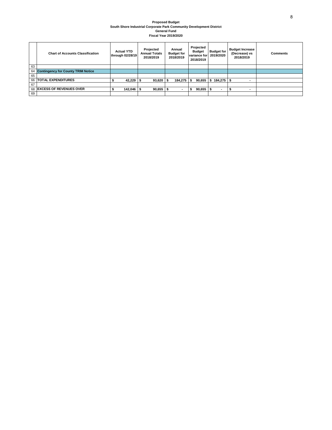#### **Proposed Budget South Shore Industrial Corporate Park Community Development District General Fund Fiscal Year 2019/2020**

|    | <b>Chart of Accounts Classification</b>   | <b>Actual YTD</b><br>through 02/28/19 | Projected<br><b>Annual Totals</b><br>2018/2019 | Annual<br><b>Budget for</b><br>2018/2019 | Projected<br><b>Budget</b><br>variance for<br>2018/2019 | <b>Budget for</b><br>2019/2020   | <b>Budget Increase</b><br>(Decrease) vs<br>2018/2019 | <b>Comments</b> |
|----|-------------------------------------------|---------------------------------------|------------------------------------------------|------------------------------------------|---------------------------------------------------------|----------------------------------|------------------------------------------------------|-----------------|
| 63 |                                           |                                       |                                                |                                          |                                                         |                                  |                                                      |                 |
| 64 | <b>Contingency for County TRIM Notice</b> |                                       |                                                |                                          |                                                         |                                  |                                                      |                 |
| 65 |                                           |                                       |                                                |                                          |                                                         |                                  |                                                      |                 |
| 66 | <b>TOTAL EXPENDITURES</b>                 | 42,229                                | 93.620                                         | 184.275                                  | 90.655                                                  | 184.275                          |                                                      |                 |
| 67 |                                           |                                       |                                                |                                          |                                                         |                                  |                                                      |                 |
| 68 | <b>EXCESS OF REVENUES OVER</b>            | 142,046                               | 90.655                                         | ٠                                        | 90,655                                                  | $\overline{\phantom{a}}$<br>- 35 | ۰                                                    |                 |
| 69 |                                           |                                       |                                                |                                          |                                                         |                                  |                                                      |                 |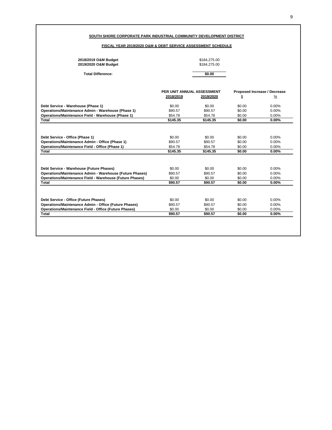### **SOUTH SHORE CORPORATE PARK INDUSTRIAL COMMUNITY DEVELOPMENT DISTRICT**

### **FISCAL YEAR 2019/2020 O&M & DEBT SERVICE ASSESSMENT SCHEDULE**

| 2018/2019 O&M Budget<br>2019/2020 O&M Budget                    |                            | \$184,275.00<br>\$184,275.00 |        |                              |
|-----------------------------------------------------------------|----------------------------|------------------------------|--------|------------------------------|
| <b>Total Difference:</b>                                        |                            | \$0.00                       |        |                              |
|                                                                 | PER UNIT ANNUAL ASSESSMENT |                              |        | Proposed Increase / Decrease |
|                                                                 | 2018/2019                  | 2019/2020                    | \$     | $\frac{9}{6}$                |
| Debt Service - Warehouse (Phase 1)                              | \$0.00                     | \$0.00                       | \$0.00 | $0.00\%$                     |
| Operations/Maintenance Admin - Warehouse (Phase 1)              | \$90.57                    | \$90.57                      | \$0.00 | 0.00%                        |
| Operations/Maintenance Field - Warehouse (Phase 1)              | \$54.78                    | \$54.78                      | \$0.00 | 0.00%                        |
| <b>Total</b>                                                    | \$145.35                   | \$145.35                     | \$0.00 | $0.00\%$                     |
|                                                                 |                            |                              |        |                              |
|                                                                 |                            |                              |        |                              |
| Debt Service - Office (Phase 1)                                 | \$0.00                     | \$0.00                       | \$0.00 | $0.00\%$                     |
| Operations/Maintenance Admin - Office (Phase 1)                 | \$90.57                    | \$90.57                      | \$0.00 | 0.00%                        |
| Operations/Maintenance Field - Office (Phase 1)                 | \$54.78                    | \$54.78                      | \$0.00 | 0.00%                        |
| Total                                                           | \$145.35                   | \$145.35                     | \$0.00 | 0.00%                        |
|                                                                 |                            |                              |        |                              |
| Debt Service - Warehouse (Future Phases)                        | \$0.00                     | \$0.00                       | \$0.00 | 0.00%                        |
| Operations/Maintenance Admin - Warehouse (Future Phases)        | \$90.57                    | \$90.57                      | \$0.00 | 0.00%                        |
| <b>Operations/Maintenance Field - Warehouse (Future Phases)</b> | \$0.00                     | \$0.00                       | \$0.00 | 0.00%                        |
| Total                                                           | \$90.57                    | \$90.57                      | \$0.00 | 0.00%                        |
|                                                                 |                            |                              |        |                              |
| Debt Service - Office (Future Phases)                           | \$0.00                     | \$0.00                       | \$0.00 | 0.00%                        |
| <b>Operations/Maintenance Admin - Office (Future Phases)</b>    | \$90.57                    | \$90.57                      | \$0.00 | 0.00%                        |
| <b>Operations/Maintenance Field - Office (Future Phases)</b>    | \$0.00                     | \$0.00                       | \$0.00 | 0.00%                        |
|                                                                 | \$90.57                    | \$90.57                      | \$0.00 | 0.00%                        |